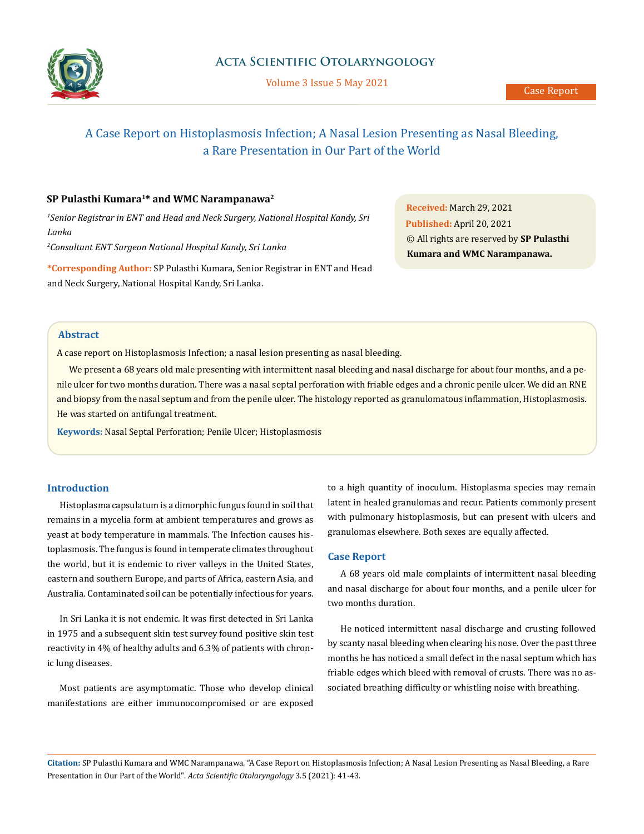

Volume 3 Issue 5 May 2021

# A Case Report on Histoplasmosis Infection; A Nasal Lesion Presenting as Nasal Bleeding, a Rare Presentation in Our Part of the World

## **SP Pulasthi Kumara1\* and WMC Narampanawa2**

*1 Senior Registrar in ENT and Head and Neck Surgery, National Hospital Kandy, Sri Lanka*

*2 Consultant ENT Surgeon National Hospital Kandy, Sri Lanka*

**\*Corresponding Author:** SP Pulasthi Kumara, Senior Registrar in ENT and Head and Neck Surgery, National Hospital Kandy, Sri Lanka.

**Received:** March 29, 2021 **Published:** April 20, 2021 © All rights are reserved by **SP Pulasthi Kumara and WMC Narampanawa.**

#### **Abstract**

A case report on Histoplasmosis Infection; a nasal lesion presenting as nasal bleeding.

We present a 68 years old male presenting with intermittent nasal bleeding and nasal discharge for about four months, and a penile ulcer for two months duration. There was a nasal septal perforation with friable edges and a chronic penile ulcer. We did an RNE and biopsy from the nasal septum and from the penile ulcer. The histology reported as granulomatous inflammation, Histoplasmosis. He was started on antifungal treatment.

**Keywords:** Nasal Septal Perforation; Penile Ulcer; Histoplasmosis

## **Introduction**

Histoplasma capsulatum is a dimorphic fungus found in soil that remains in a mycelia form at ambient temperatures and grows as yeast at body temperature in mammals. The Infection causes histoplasmosis. The fungus is found in temperate climates throughout the world, but it is endemic to river valleys in the United States, eastern and southern Europe, and parts of Africa, eastern Asia, and Australia. Contaminated soil can be potentially infectious for years.

In Sri Lanka it is not endemic. It was first detected in Sri Lanka in 1975 and a subsequent skin test survey found positive skin test reactivity in 4% of healthy adults and 6.3% of patients with chronic lung diseases.

Most patients are asymptomatic. Those who develop clinical manifestations are either immunocompromised or are exposed

to a high quantity of inoculum. Histoplasma species may remain latent in healed granulomas and recur. Patients commonly present with pulmonary histoplasmosis, but can present with ulcers and granulomas elsewhere. Both sexes are equally affected.

### **Case Report**

A 68 years old male complaints of intermittent nasal bleeding and nasal discharge for about four months, and a penile ulcer for two months duration.

He noticed intermittent nasal discharge and crusting followed by scanty nasal bleeding when clearing his nose. Over the past three months he has noticed a small defect in the nasal septum which has friable edges which bleed with removal of crusts. There was no associated breathing difficulty or whistling noise with breathing.

**Citation:** SP Pulasthi Kumara and WMC Narampanawa*.* "A Case Report on Histoplasmosis Infection; A Nasal Lesion Presenting as Nasal Bleeding, a Rare Presentation in Our Part of the World". *Acta Scientific Otolaryngology* 3.5 (2021): 41-43.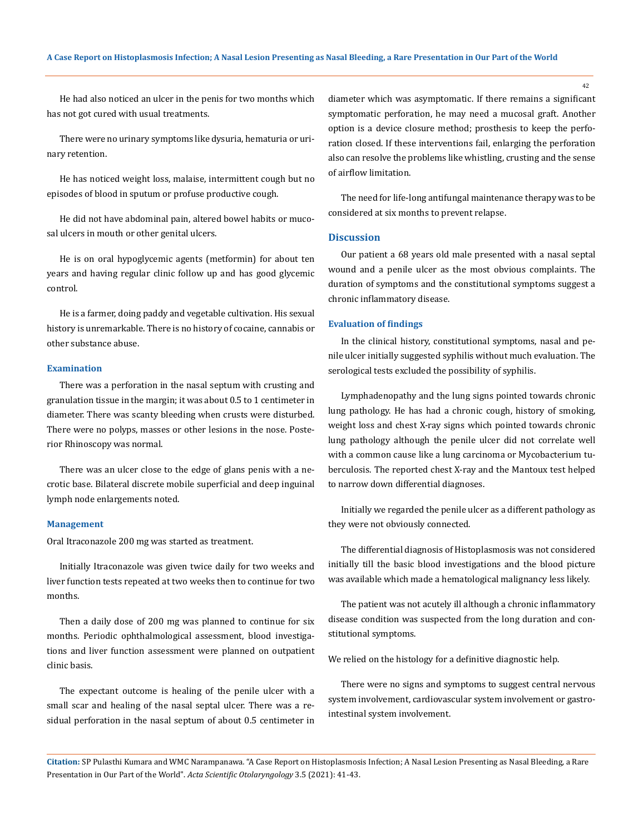He had also noticed an ulcer in the penis for two months which has not got cured with usual treatments.

There were no urinary symptoms like dysuria, hematuria or urinary retention.

He has noticed weight loss, malaise, intermittent cough but no episodes of blood in sputum or profuse productive cough.

He did not have abdominal pain, altered bowel habits or mucosal ulcers in mouth or other genital ulcers.

He is on oral hypoglycemic agents (metformin) for about ten years and having regular clinic follow up and has good glycemic control.

He is a farmer, doing paddy and vegetable cultivation. His sexual history is unremarkable. There is no history of cocaine, cannabis or other substance abuse.

#### **Examination**

There was a perforation in the nasal septum with crusting and granulation tissue in the margin; it was about 0.5 to 1 centimeter in diameter. There was scanty bleeding when crusts were disturbed. There were no polyps, masses or other lesions in the nose. Posterior Rhinoscopy was normal.

There was an ulcer close to the edge of glans penis with a necrotic base. Bilateral discrete mobile superficial and deep inguinal lymph node enlargements noted.

#### **Management**

Oral Itraconazole 200 mg was started as treatment.

Initially Itraconazole was given twice daily for two weeks and liver function tests repeated at two weeks then to continue for two months.

Then a daily dose of 200 mg was planned to continue for six months. Periodic ophthalmological assessment, blood investigations and liver function assessment were planned on outpatient clinic basis.

The expectant outcome is healing of the penile ulcer with a small scar and healing of the nasal septal ulcer. There was a residual perforation in the nasal septum of about 0.5 centimeter in diameter which was asymptomatic. If there remains a significant symptomatic perforation, he may need a mucosal graft. Another option is a device closure method; prosthesis to keep the perforation closed. If these interventions fail, enlarging the perforation also can resolve the problems like whistling, crusting and the sense of airflow limitation.

The need for life-long antifungal maintenance therapy was to be considered at six months to prevent relapse.

## **Discussion**

Our patient a 68 years old male presented with a nasal septal wound and a penile ulcer as the most obvious complaints. The duration of symptoms and the constitutional symptoms suggest a chronic inflammatory disease.

#### **Evaluation of findings**

In the clinical history, constitutional symptoms, nasal and penile ulcer initially suggested syphilis without much evaluation. The serological tests excluded the possibility of syphilis.

Lymphadenopathy and the lung signs pointed towards chronic lung pathology. He has had a chronic cough, history of smoking, weight loss and chest X-ray signs which pointed towards chronic lung pathology although the penile ulcer did not correlate well with a common cause like a lung carcinoma or Mycobacterium tuberculosis. The reported chest X-ray and the Mantoux test helped to narrow down differential diagnoses.

Initially we regarded the penile ulcer as a different pathology as they were not obviously connected.

The differential diagnosis of Histoplasmosis was not considered initially till the basic blood investigations and the blood picture was available which made a hematological malignancy less likely.

The patient was not acutely ill although a chronic inflammatory disease condition was suspected from the long duration and constitutional symptoms.

We relied on the histology for a definitive diagnostic help.

There were no signs and symptoms to suggest central nervous system involvement, cardiovascular system involvement or gastrointestinal system involvement.

**Citation:** SP Pulasthi Kumara and WMC Narampanawa*.* "A Case Report on Histoplasmosis Infection; A Nasal Lesion Presenting as Nasal Bleeding, a Rare Presentation in Our Part of the World". *Acta Scientific Otolaryngology* 3.5 (2021): 41-43.

42